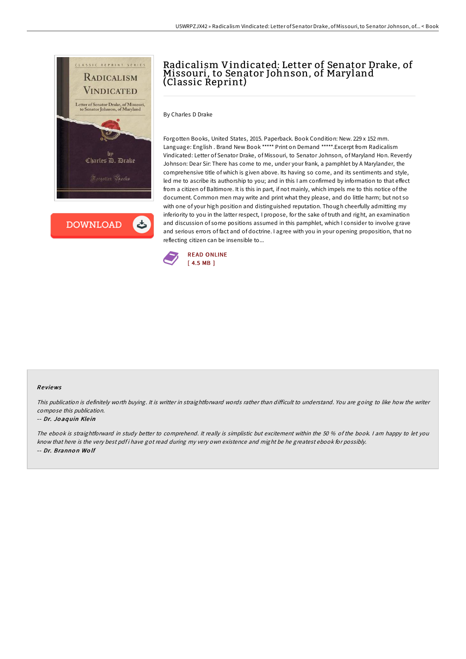

**DOWNLOAD** 

ٹ

## Radicalism Vindicated: Letter of Senator Drake, of Missouri, to Senator Johnson, of Maryland (Classic Reprint)

By Charles D Drake

Forgotten Books, United States, 2015. Paperback. Book Condition: New. 229 x 152 mm. Language: English . Brand New Book \*\*\*\*\* Print on Demand \*\*\*\*\*.Excerpt from Radicalism Vindicated: Letter of Senator Drake, of Missouri, to Senator Johnson, of Maryland Hon. Reverdy Johnson: Dear Sir: There has come to me, under your frank, a pamphlet by A Marylander, the comprehensive title of which is given above. Its having so come, and its sentiments and style, led me to ascribe its authorship to you; and in this I am confirmed by information to that effect from a citizen of Baltimore. It is this in part, if not mainly, which impels me to this notice of the document. Common men may write and print what they please, and do little harm; but not so with one of your high position and distinguished reputation. Though cheerfully admitting my inferiority to you in the latter respect, I propose, for the sake of truth and right, an examination and discussion of some positions assumed in this pamphlet, which I consider to involve grave and serious errors of fact and of doctrine. I agree with you in your opening proposition, that no reflecting citizen can be insensible to...



## Re views

This publication is definitely worth buying. It is writter in straightforward words rather than difficult to understand. You are going to like how the writer compose this publication.

## -- Dr. Joaquin Klein

The ebook is straightforward in study better to comprehend. It really is simplistic but excitement within the 50 % of the book. <sup>I</sup> am happy to let you know that here is the very best pdf i have got read during my very own existence and might be he greatest ebook for possibly. -- Dr. Branno <sup>n</sup> Wo lf